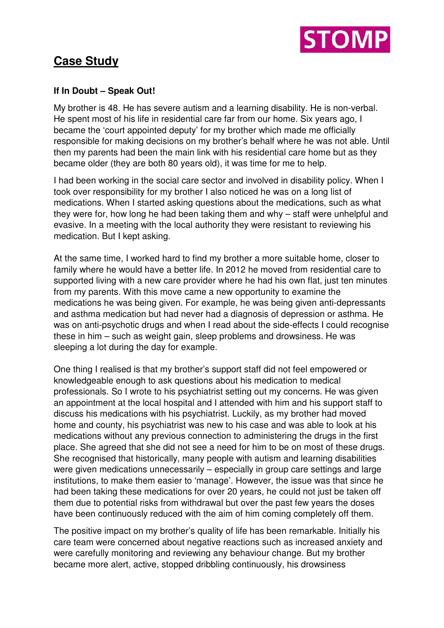

## **Case Study**

## **If In Doubt – Speak Out!**

My brother is 48. He has severe autism and a learning disability. He is non-verbal. He spent most of his life in residential care far from our home. Six years ago, I became the 'court appointed deputy' for my brother which made me officially responsible for making decisions on my brother's behalf where he was not able. Until then my parents had been the main link with his residential care home but as they became older (they are both 80 years old), it was time for me to help.

I had been working in the social care sector and involved in disability policy. When I took over responsibility for my brother I also noticed he was on a long list of medications. When I started asking questions about the medications, such as what they were for, how long he had been taking them and why – staff were unhelpful and evasive. In a meeting with the local authority they were resistant to reviewing his medication. But I kept asking.

At the same time, I worked hard to find my brother a more suitable home, closer to family where he would have a better life. In 2012 he moved from residential care to supported living with a new care provider where he had his own flat, just ten minutes from my parents. With this move came a new opportunity to examine the medications he was being given. For example, he was being given anti-depressants and asthma medication but had never had a diagnosis of depression or asthma. He was on anti-psychotic drugs and when I read about the side-effects I could recognise these in him – such as weight gain, sleep problems and drowsiness. He was sleeping a lot during the day for example.

One thing I realised is that my brother's support staff did not feel empowered or knowledgeable enough to ask questions about his medication to medical professionals. So I wrote to his psychiatrist setting out my concerns. He was given an appointment at the local hospital and I attended with him and his support staff to discuss his medications with his psychiatrist. Luckily, as my brother had moved home and county, his psychiatrist was new to his case and was able to look at his medications without any previous connection to administering the drugs in the first place. She agreed that she did not see a need for him to be on most of these drugs. She recognised that historically, many people with autism and learning disabilities were given medications unnecessarily – especially in group care settings and large institutions, to make them easier to 'manage'. However, the issue was that since he had been taking these medications for over 20 years, he could not just be taken off them due to potential risks from withdrawal but over the past few years the doses have been continuously reduced with the aim of him coming completely off them.

The positive impact on my brother's quality of life has been remarkable. Initially his care team were concerned about negative reactions such as increased anxiety and were carefully monitoring and reviewing any behaviour change. But my brother became more alert, active, stopped dribbling continuously, his drowsiness